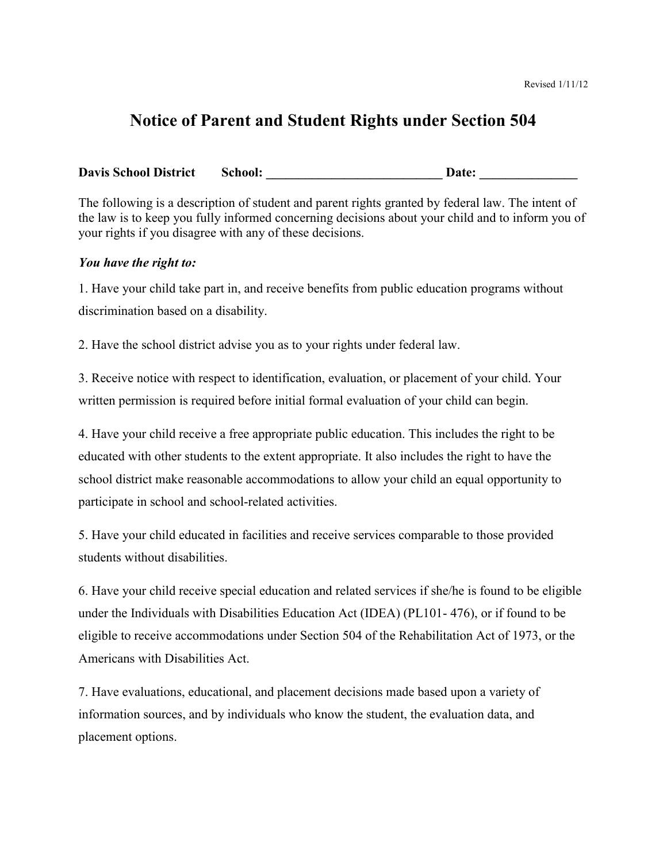## **Notice of Parent and Student Rights under Section 504**

**Davis School District School: \_\_\_\_\_\_\_\_\_\_\_\_\_\_\_\_\_\_\_\_\_\_\_\_\_\_\_ Date: \_\_\_\_\_\_\_\_\_\_\_\_\_\_\_**

The following is a description of student and parent rights granted by federal law. The intent of the law is to keep you fully informed concerning decisions about your child and to inform you of your rights if you disagree with any of these decisions.

## *You have the right to:*

1. Have your child take part in, and receive benefits from public education programs without discrimination based on a disability.

2. Have the school district advise you as to your rights under federal law.

3. Receive notice with respect to identification, evaluation, or placement of your child. Your written permission is required before initial formal evaluation of your child can begin.

4. Have your child receive a free appropriate public education. This includes the right to be educated with other students to the extent appropriate. It also includes the right to have the school district make reasonable accommodations to allow your child an equal opportunity to participate in school and school-related activities.

5. Have your child educated in facilities and receive services comparable to those provided students without disabilities.

6. Have your child receive special education and related services if she/he is found to be eligible under the Individuals with Disabilities Education Act (IDEA) (PL101- 476), or if found to be eligible to receive accommodations under Section 504 of the Rehabilitation Act of 1973, or the Americans with Disabilities Act.

7. Have evaluations, educational, and placement decisions made based upon a variety of information sources, and by individuals who know the student, the evaluation data, and placement options.